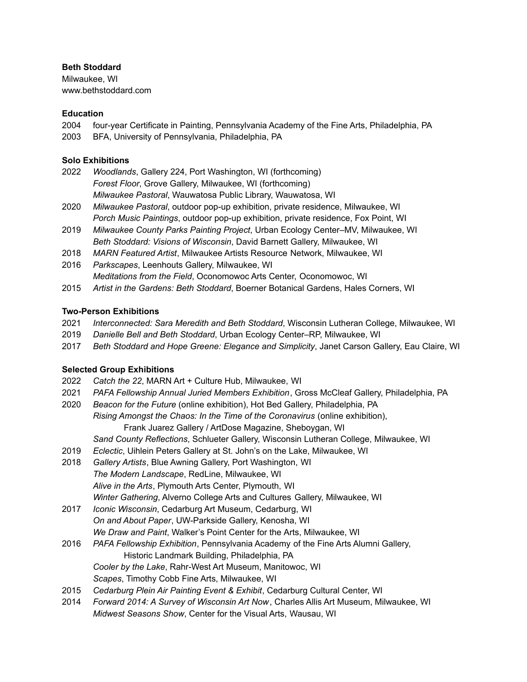# **Beth Stoddard**

Milwaukee, WI [www.bethstoddard.com](http://www.bethstoddard.com)

# **Education**

2004 four-year Certificate in Painting, Pennsylvania Academy of the Fine Arts, Philadelphia, PA

2003 BFA, University of Pennsylvania, Philadelphia, PA

# **Solo Exhibitions**

- 2022 *Woodlands*, Gallery 224, Port Washington, WI (forthcoming) *Forest Floor*, Grove Gallery, Milwaukee, WI (forthcoming) *Milwaukee Pastoral*, Wauwatosa Public Library, Wauwatosa, WI
- 2020 *Milwaukee Pastoral*, outdoor pop-up exhibition, private residence, Milwaukee, WI *Porch Music Paintings*, outdoor pop-up exhibition, private residence, Fox Point, WI
- 2019 *Milwaukee County Parks Painting Project*, Urban Ecology Center–MV, Milwaukee, WI *Beth Stoddard: Visions of Wisconsin*, David Barnett Gallery, Milwaukee, WI
- 2018 *MARN Featured Artist*, Milwaukee Artists Resource Network, Milwaukee, WI
- 2016 *Parkscapes*, Leenhouts Gallery, Milwaukee, WI *Meditations from the Field*, Oconomowoc Arts Center, Oconomowoc, WI
- 2015 *Artist in the Gardens: Beth Stoddard*, Boerner Botanical Gardens, Hales Corners, WI

# **Two-Person Exhibitions**

- 2021 *Interconnected: Sara Meredith and Beth Stoddard*, Wisconsin Lutheran College, Milwaukee, WI
- 2019 *Danielle Bell and Beth Stoddard*, Urban Ecology Center–RP, Milwaukee, WI
- 2017 *Beth Stoddard and Hope Greene: Elegance and Simplicity*, Janet Carson Gallery, Eau Claire, WI

# **Selected Group Exhibitions**

- 2022 *Catch the 22*, MARN Art + Culture Hub, Milwaukee, WI
- 2021 *PAFA Fellowship Annual Juried Members Exhibition*, Gross McCleaf Gallery, Philadelphia, PA
- 2020 *Beacon for the Future* (online exhibition), Hot Bed Gallery, Philadelphia, PA *Rising Amongst the Chaos: In the Time of the Coronavirus* (online exhibition), Frank Juarez Gallery / ArtDose Magazine, Sheboygan, WI
	- *Sand County Reflections*, Schlueter Gallery, Wisconsin Lutheran College, Milwaukee, WI
- 2019 *Eclectic*, Uihlein Peters Gallery at St. John's on the Lake, Milwaukee, WI
- 2018 *Gallery Artists*, Blue Awning Gallery, Port Washington, WI *The Modern Landscape*, RedLine, Milwaukee, WI *Alive in the Arts*, Plymouth Arts Center, Plymouth, WI *Winter Gathering*, Alverno College Arts and Cultures Gallery, Milwaukee, WI
- 2017 *Iconic Wisconsin*, Cedarburg Art Museum, Cedarburg, WI *On and About Paper*, UW-Parkside Gallery, Kenosha, WI *We Draw and Paint*, Walker's Point Center for the Arts, Milwaukee, WI
- 2016 *PAFA Fellowship Exhibition*, Pennsylvania Academy of the Fine Arts Alumni Gallery, Historic Landmark Building, Philadelphia, PA *Cooler by the Lake*, Rahr-West Art Museum, Manitowoc, WI
	- *Scapes*, Timothy Cobb Fine Arts, Milwaukee, WI
- 2015 *Cedarburg Plein Air Painting Event & Exhibit*, Cedarburg Cultural Center, WI
- 2014 *Forward 2014: A Survey of Wisconsin Art Now*, Charles Allis Art Museum, Milwaukee, WI *Midwest Seasons Show*, Center for the Visual Arts, Wausau, WI